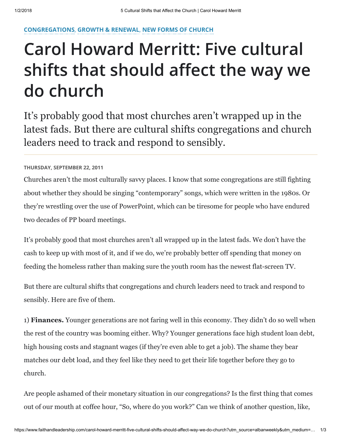## [CONGREGATIONS](https://www.faithandleadership.com/topics/congregations), [GROWTH & RENEWAL](https://www.faithandleadership.com/topics/growth-renewal), [NEW FORMS OF CHURCH](https://www.faithandleadership.com/topics/new-forms-church)

## Carol Howard Merritt: Five cultural shifts that should affect the way we do church

It's probably good that most churches aren't wrapped up in the latest fads. But there are cultural shifts congregations and church leaders need to track and respond to sensibly.

## THURSDAY, SEPTEMBER 22, 2011

Churches aren't the most culturally savvy places. I know that some congregations are still fighting about whether they should be singing "contemporary" songs, which were written in the 1980s. Or they're wrestling over the use of PowerPoint, which can be tiresome for people who have endured two decades of PP board meetings.

It's probably good that most churches aren't all wrapped up in the latest fads. We don't have the cash to keep up with most of it, and if we do, we're probably better off spending that money on feeding the homeless rather than making sure the youth room has the newest flat-screen TV.

But there are cultural shifts that congregations and church leaders need to track and respond to sensibly. Here are five of them.

1) Finances. Younger generations are not faring well in this economy. They didn't do so well when the rest of the country was booming either. Why? Younger generations face high student loan debt, high housing costs and stagnant wages (if they're even able to get a job). The shame they bear matches our debt load, and they feel like they need to get their life together before they go to church.

Are people ashamed of their monetary situation in our congregations? Is the first thing that comes out of our mouth at coffee hour, "So, where do you work?" Can we think of another question, like,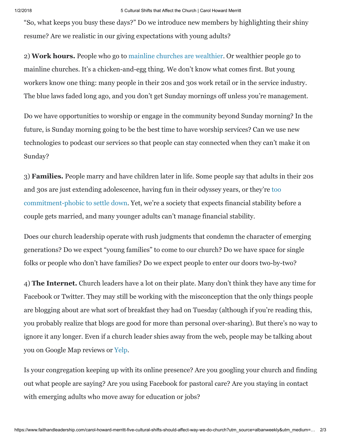"So, what keeps you busy these days?" Do we introduce new members by highlighting their shiny resume? Are we realistic in our giving expectations with young adults?

2) Work hours. People who go to [mainline churches are wealthier](http://religions.pewforum.org/pdf/table-income-by-denomination.pdf). Or wealthier people go to mainline churches. It's a chicken-and-egg thing. We don't know what comes first. But young workers know one thing: many people in their 20s and 30s work retail or in the service industry. The blue laws faded long ago, and you don't get Sunday mornings off unless you're management.

Do we have opportunities to worship or engage in the community beyond Sunday morning? In the future, is Sunday morning going to be the best time to have worship services? Can we use new technologies to podcast our services so that people can stay connected when they can't make it on Sunday?

3) Families. People marry and have children later in life. Some people say that adults in their 20s and 30s are just extending adolescence, having fun in their odyssey years, or they're too [commitment-phobic to settle down. Yet, we're a society that expects financial stability be](https://www.faithandleadership.com/blog/09-13-2010/benjamin-mcnutt-young-people-dont-lack-commitment)fore a couple gets married, and many younger adults can't manage financial stability.

Does our church leadership operate with rush judgments that condemn the character of emerging generations? Do we expect "young families" to come to our church? Do we have space for single folks or people who don't have families? Do we expect people to enter our doors two-by-two?

4) The Internet. Church leaders have a lot on their plate. Many don't think they have any time for Facebook or Twitter. They may still be working with the misconception that the only things people are blogging about are what sort of breakfast they had on Tuesday (although if you're reading this, you probably realize that blogs are good for more than personal over-sharing). But there's no way to ignore it any longer. Even if a church leader shies away from the web, people may be talking about you on Google Map reviews or [Yelp.](http://www.yelp.com/)

Is your congregation keeping up with its online presence? Are you googling your church and finding out what people are saying? Are you using Facebook for pastoral care? Are you staying in contact with emerging adults who move away for education or jobs?